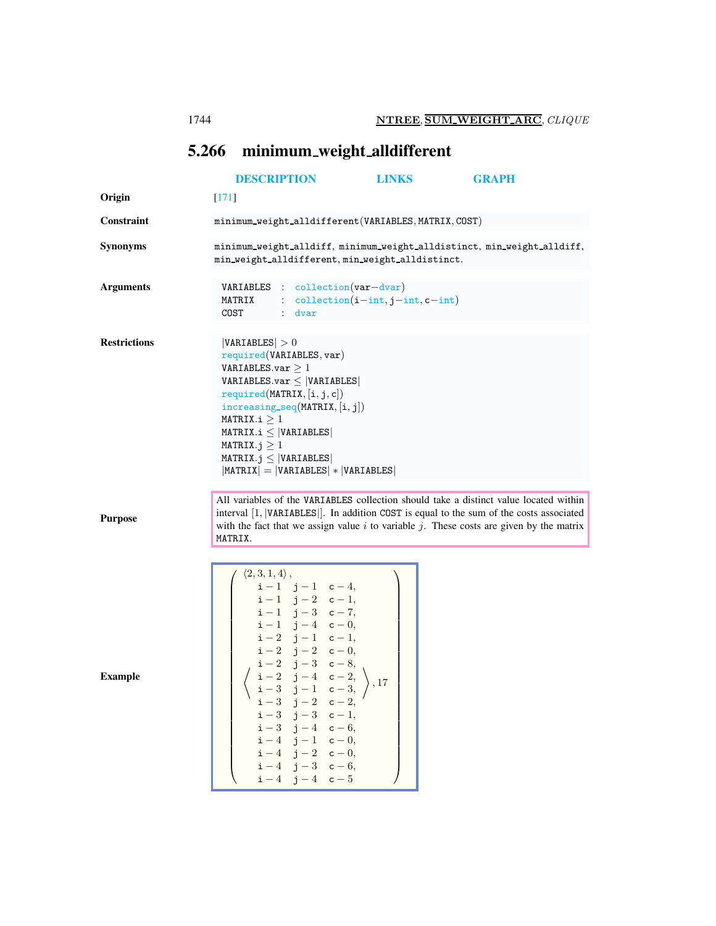## <span id="page-0-0"></span>5.266 minimum weight alldifferent

|                     |                                                                                                                                                                                                                                                                                                                                                                                                                                                                                                                                                                                                                | <b>DESCRIPTION</b>                                                                                                                                          | <b>LINKS</b> | <b>GRAPH</b>                                                                                                                                                                                                                                                                     |  |  |  |
|---------------------|----------------------------------------------------------------------------------------------------------------------------------------------------------------------------------------------------------------------------------------------------------------------------------------------------------------------------------------------------------------------------------------------------------------------------------------------------------------------------------------------------------------------------------------------------------------------------------------------------------------|-------------------------------------------------------------------------------------------------------------------------------------------------------------|--------------|----------------------------------------------------------------------------------------------------------------------------------------------------------------------------------------------------------------------------------------------------------------------------------|--|--|--|
| Origin              | $[171]$                                                                                                                                                                                                                                                                                                                                                                                                                                                                                                                                                                                                        |                                                                                                                                                             |              |                                                                                                                                                                                                                                                                                  |  |  |  |
| Constraint          | minimum_weight_alldifferent(VARIABLES, MATRIX, COST)                                                                                                                                                                                                                                                                                                                                                                                                                                                                                                                                                           |                                                                                                                                                             |              |                                                                                                                                                                                                                                                                                  |  |  |  |
| <b>Synonyms</b>     | minimum_weight_alldiff, minimum_weight_alldistinct, min_weight_alldiff,<br>min_weight_alldifferent, min_weight_alldistinct.                                                                                                                                                                                                                                                                                                                                                                                                                                                                                    |                                                                                                                                                             |              |                                                                                                                                                                                                                                                                                  |  |  |  |
| <b>Arguments</b>    | <b>VARIABLES</b> : collection $(var-dvar)$<br>MATRIX<br>COST<br>$:$ dvar                                                                                                                                                                                                                                                                                                                                                                                                                                                                                                                                       | : $\text{collection}(i-int, j-int, c-int)$                                                                                                                  |              |                                                                                                                                                                                                                                                                                  |  |  |  |
| <b>Restrictions</b> | VARIABLES  > 0<br>required(VARIABLES, var)<br>VARIABLES.var $\geq 1$<br>VARIABLES.var $\leq$  VARIABLES <br>required(MATRIX, [i, j, c])<br>$increasing\_seq(MATRIX, [i, j])$<br>MATRIX.i $\geq 1$<br>$MATRIX.i \leq  VARIABLES $<br>MATRIX. $j \geq 1$<br>MATRIX. $j \leq  VARIABLES $<br>$ MATRIX  =  VARIABLES  *  VARIABLES $                                                                                                                                                                                                                                                                               |                                                                                                                                                             |              |                                                                                                                                                                                                                                                                                  |  |  |  |
| <b>Purpose</b>      | MATRIX.                                                                                                                                                                                                                                                                                                                                                                                                                                                                                                                                                                                                        |                                                                                                                                                             |              | All variables of the VARIABLES collection should take a distinct value located within<br>interval [1,  VARIABLES ]. In addition COST is equal to the sum of the costs associated<br>with the fact that we assign value $i$ to variable $j$ . These costs are given by the matrix |  |  |  |
| <b>Example</b>      | $\langle 2,3,1,4\rangle$ ,<br>$\left( \begin{array}{cccccc} \sqrt{-1}, & \sqrt{-1}, & \sqrt{-1}, & \sqrt{-1}, & \sqrt{-1}, & \sqrt{-1}, \\ \mathbf{i}-1 & \mathbf{j}-2 & \mathbf{c}-1, & \\ \mathbf{i}-1 & \mathbf{j}-3 & \mathbf{c}-7, & \\ \mathbf{i}-1 & \mathbf{j}-4 & \mathbf{c}-0, & \\ \mathbf{i}-2 & \mathbf{j}-1 & \mathbf{c}-1, & \\ \mathbf{i}-2 & \mathbf{j}-2 & \mathbf{c}-0, & \\ \mathbf{i}-2 & \mathbf{j}-2 & \mathbf{c}-0, & \\ \mathbf{i}-2 & \mathbf{j}-3 & \mathbf{c}-0. & \end{array} \$<br>$\begin{pmatrix} i-2 & j-3 & c-8, \\ i-2 & j-4 & c-2, \\ i-3 & j-1 & c-3, \end{pmatrix}$ , 17 | $i-3$ $j-2$ $c-2$ ,<br>$i-3$ $j-3$ $c-1$ ,<br>$i-3$ $j-4$ $c-6$ ,<br>$i-4$ $j-1$ $c-0$ ,<br>$i-4$ $j-2$ $c-0$ ,<br>$i-4$ $j-3$ $c-6$ ,<br>$i-4$ $j-4$ $c-5$ |              |                                                                                                                                                                                                                                                                                  |  |  |  |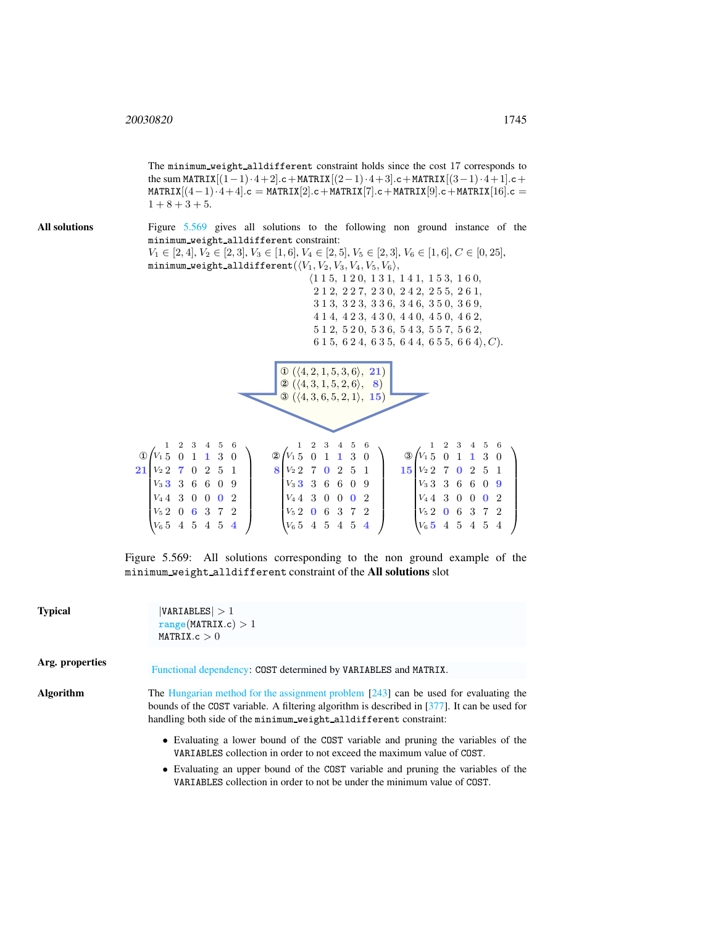The minimum weight alldifferent constraint holds since the cost 17 corresponds to the sum MATRIX $[(1-1)\cdot4+2]$ .c + MATRIX $[(2-1)\cdot4+3]$ .c + MATRIX $[(3-1)\cdot4+1]$ .c +  $\text{MATRIX}[(4-1)\cdot4+4]$ .c = MATRIX[2].c + MATRIX[7].c + MATRIX[9].c + MATRIX[16].c =  $1 + 8 + 3 + 5.$ All solutions Figure [5.569](#page-1-0) gives all solutions to the following non ground instance of the minimum weight alldifferent constraint:  $V_1 \in [2, 4], V_2 \in [2, 3], V_3 \in [1, 6], V_4 \in [2, 5], V_5 \in [2, 3], V_6 \in [1, 6], C \in [0, 25],$ minimum\_weight\_alldifferent $(\langle V_1, V_2, V_3, V_4, V_5, V_6\rangle,$  $\langle 1\ 1\ 5,\ 1\ 2\ 0,\ 1\ 3\ 1,\ 1\ 4\ 1,\ 1\ 5\ 3,\ 1\ 6\ 0,$ 2 1 2, 2 2 7, 2 3 0, 2 4 2, 2 5 5, 2 6 1, 3 1 3, 3 2 3, 3 3 6, 3 4 6, 3 5 0, 3 6 9, 4 1 4, 4 2 3, 4 3 0, 4 4 0, 4 5 0, 4 6 2, 5 1 2, 5 2 0, 5 3 6, 5 4 3, 5 5 7, 5 6 2, 6 1 5, 6 2 4, 6 3 5, 6 4 4, 6 5 5, 6 6 4,  $C$ ).  $\Phi$  ( $\langle 4, 2, 1, 5, 3, 6 \rangle$ , 21)  $\textcircled{2} (\langle 4, 3, 1, 5, 2, 6 \rangle, \; 8)$  $\mathcal{O}(\langle 4, 3, 6, 5, 2, 1 \rangle, 15)$  $\mathbb{O} \left( V_1 \, 5 \, 0 \, 1 \, 1 \, 3 \, 0 \right)$  $21V_2$   $270$   $251$ 3 3 6 6 0 9 V<sup>3</sup>  $V_4$  4 3 0 0 0 2  $V_5$  2 0 6 3 7 2  $V_6$  5 4 5 4 5 4  $\begin{bmatrix} I \\ I \\ I \\ I \\ I \end{bmatrix}$  $\setminus$  $\begin{array}{c} \hline \end{array}$ 1 2 3 4 5 6  $\bigotimes \begin{pmatrix} 1 & 1 & 3 & 0 \\ V_1 & 5 & 0 & 1 & 1 & 3 & 0 \end{pmatrix}$ 8  $V_2$  2 7 0 2 5 1  $V_3$  3 3 6 6 0 9  $V_4$  4 3 0 0 0 2  $V_5$  2 0 6 3 7 2  $V_6$  5 4 5 4 5 4  $\begin{bmatrix} 1 \\ 1 \\ 1 \\ 1 \\ 1 \end{bmatrix}$  $\setminus$  $\overline{\phantom{a}}$ 1 2 3 4 5 6  $\circled{3}$   $\begin{pmatrix} 1 & 1 & 3 & 0 \\ 4 & 5 & 0 & 1 & 1 & 3 \\ 0 & 0 & 0 & 0 & 0 \\ 0 & 0 & 0 & 0 & 0 \\ 0 & 0 & 0 & 0 & 0 \\ 0 & 0 & 0 & 0 & 0 \\ 0 & 0 & 0 & 0 & 0 \\ 0 & 0 & 0 & 0 & 0 \\ 0 & 0 & 0 & 0 & 0 \\ 0 & 0 & 0 & 0 & 0 \\ 0 & 0 & 0 & 0 & 0 \\ 0 & 0 & 0 & 0 & 0 \\ 0 & 0 & 0 & 0 & 0 \\ 0 & 0 & 0 &$  $15V_2$  7 0 2 5 1  $V_3$  3 3 6 6 0 9  $V_4$  4 3 0 0 0 2  $V_5$  2 0 6 3 7 2 5 4 5 4 5 4  $\begin{bmatrix} I \\ I \\ I \\ I \\ I \end{bmatrix}$  $\setminus$   $V_6$  5 1 2 3 4 5 6

> <span id="page-1-0"></span>Figure 5.569: All solutions corresponding to the non ground example of the minimum weight alldifferent constraint of the All solutions slot

| <b>Typical</b>   | VARIABLES  > 1<br>range(MATRIX.c) > 1<br>MATRIX.c > 0                                                                                                                                                                                                       |  |  |  |  |
|------------------|-------------------------------------------------------------------------------------------------------------------------------------------------------------------------------------------------------------------------------------------------------------|--|--|--|--|
| Arg. properties  | Functional dependency: COST determined by VARIABLES and MATRIX.                                                                                                                                                                                             |  |  |  |  |
| <b>Algorithm</b> | The Hungarian method for the assignment problem $[243]$ can be used for evaluating the<br>bounds of the COST variable. A filtering algorithm is described in [377]. It can be used for<br>handling both side of the minimum weight alldifferent constraint: |  |  |  |  |
|                  | • Evaluating a lower bound of the COST variable and pruning the variables of the<br>VARIABLES collection in order to not exceed the maximum value of COST.                                                                                                  |  |  |  |  |
|                  | • Evaluating an upper bound of the COST variable and pruning the variables of the<br>VARIABLES collection in order to not be under the minimum value of COST.                                                                                               |  |  |  |  |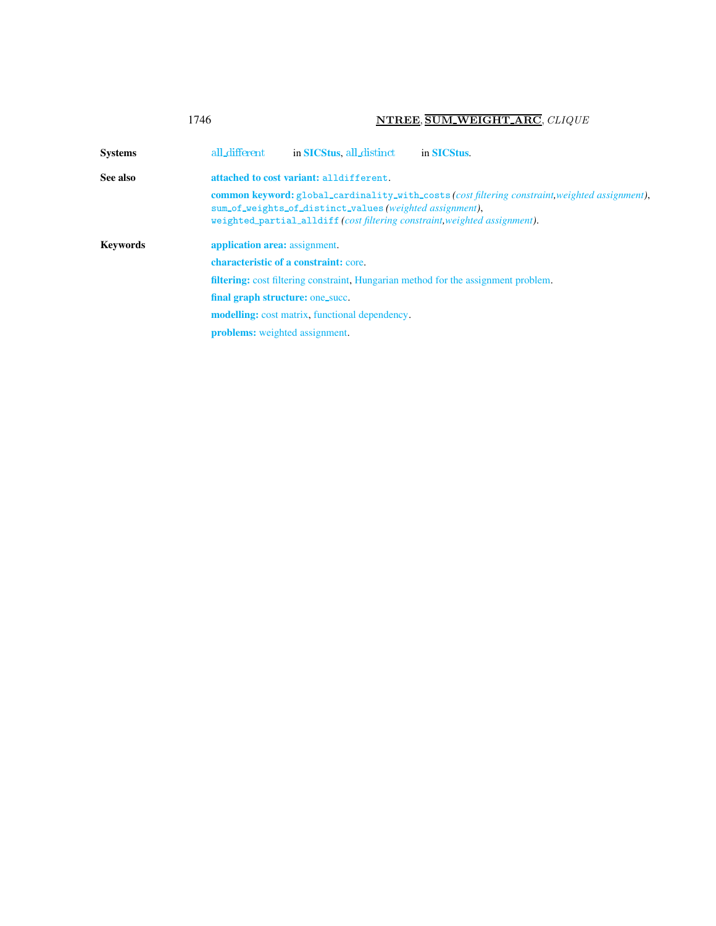<span id="page-2-0"></span>

|                 | 1746                                                                                      |                                                         | NTREE, SUM WEIGHT ARC, CLIQUE                                                                                                                                                       |  |  |
|-----------------|-------------------------------------------------------------------------------------------|---------------------------------------------------------|-------------------------------------------------------------------------------------------------------------------------------------------------------------------------------------|--|--|
| <b>Systems</b>  | all_different                                                                             | in <b>SICStus</b> , all distinct                        | in SICStus.                                                                                                                                                                         |  |  |
| See also        | attached to cost variant: alldifferent.                                                   |                                                         |                                                                                                                                                                                     |  |  |
|                 |                                                                                           | sum_of_weights_of_distinct_values(weighted assignment), | <b>common keyword:</b> global_cardinality_with_costs(cost filtering constraint, weighted assignment),<br>weighted_partial_alldiff (cost filtering constraint, weighted assignment). |  |  |
| <b>Keywords</b> | application area: assignment.                                                             |                                                         |                                                                                                                                                                                     |  |  |
|                 | characteristic of a constraint: core.                                                     |                                                         |                                                                                                                                                                                     |  |  |
|                 | <b>filtering:</b> cost filtering constraint, Hungarian method for the assignment problem. |                                                         |                                                                                                                                                                                     |  |  |
|                 | final graph structure: one_succ.                                                          |                                                         |                                                                                                                                                                                     |  |  |
|                 | <b>modelling:</b> cost matrix, functional dependency.                                     |                                                         |                                                                                                                                                                                     |  |  |
|                 | <b>problems:</b> weighted assignment.                                                     |                                                         |                                                                                                                                                                                     |  |  |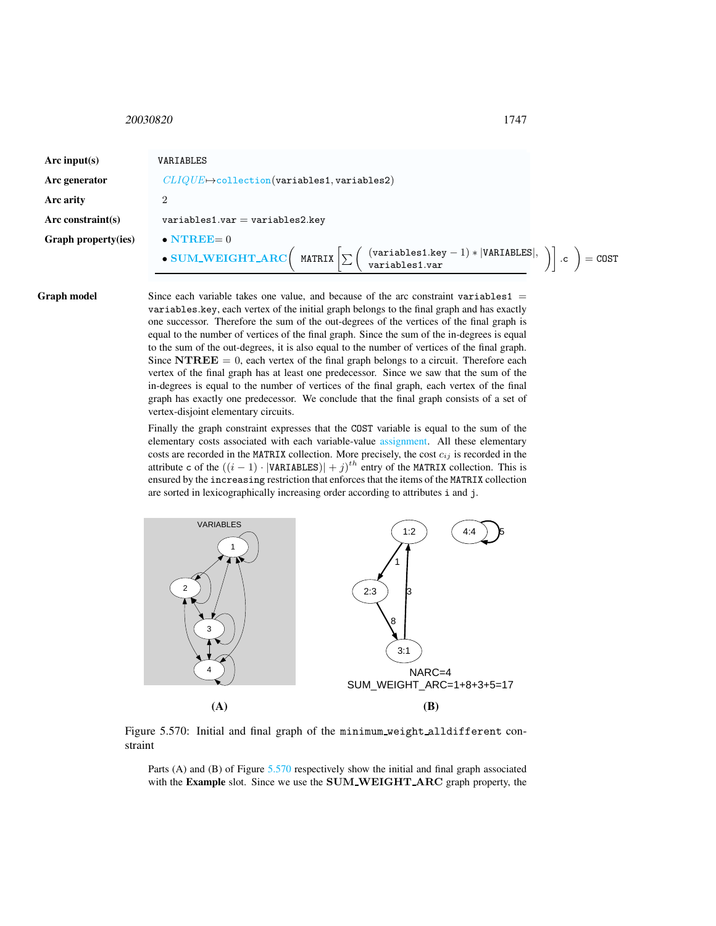## <span id="page-3-0"></span><sup>20030820</sup> 1747

| Arc input(s)         | VARIABLES                                                                                                                                                                                                                                  |
|----------------------|--------------------------------------------------------------------------------------------------------------------------------------------------------------------------------------------------------------------------------------------|
| Arc generator        | $CLIOUE \rightarrow$ collection(variables1, variables2)                                                                                                                                                                                    |
| Arc arity            | ച                                                                                                                                                                                                                                          |
| Arc constraint $(s)$ | $variables1.var = variables2key$                                                                                                                                                                                                           |
| Graph property(ies)  | $\bullet$ NTREE= 0<br>• SUM_WEIGHT_ARC $\left(\begin{array}{c} \text{MATRIX} \end{array}\right[\sum \left(\begin{array}{c} \text{(variables1-key - 1) *  VARIABLES} , \\ \text{variables1-var} \end{array}\right)].c\right) = \text{COST}$ |

**Graph model** Since each variable takes one value, and because of the arc constraint variables  $1 =$ variables.key, each vertex of the initial graph belongs to the final graph and has exactly one successor. Therefore the sum of the out-degrees of the vertices of the final graph is equal to the number of vertices of the final graph. Since the sum of the in-degrees is equal to the sum of the out-degrees, it is also equal to the number of vertices of the final graph. Since  $\textbf{N} \textbf{T} \textbf{R} \textbf{E} \textbf{E} = 0$ , each vertex of the final graph belongs to a circuit. Therefore each vertex of the final graph has at least one predecessor. Since we saw that the sum of the in-degrees is equal to the number of vertices of the final graph, each vertex of the final graph has exactly one predecessor. We conclude that the final graph consists of a set of vertex-disjoint elementary circuits.

> Finally the graph constraint expresses that the COST variable is equal to the sum of the elementary costs associated with each variable-value assignment. All these elementary costs are recorded in the MATRIX collection. More precisely, the cost  $c_{ij}$  is recorded in the attribute c of the  $((i - 1) \cdot |\text{VARIABLES})| + j)^{th}$  entry of the MATRIX collection. This is ensured by the increasing restriction that enforces that the items of the MATRIX collection are sorted in lexicographically increasing order according to attributes i and j.



Figure 5.570: Initial and final graph of the minimum weight alldifferent constraint

<span id="page-3-1"></span>Parts (A) and (B) of Figure [5.570](#page-3-1) respectively show the initial and final graph associated with the Example slot. Since we use the SUM WEIGHT ARC graph property, the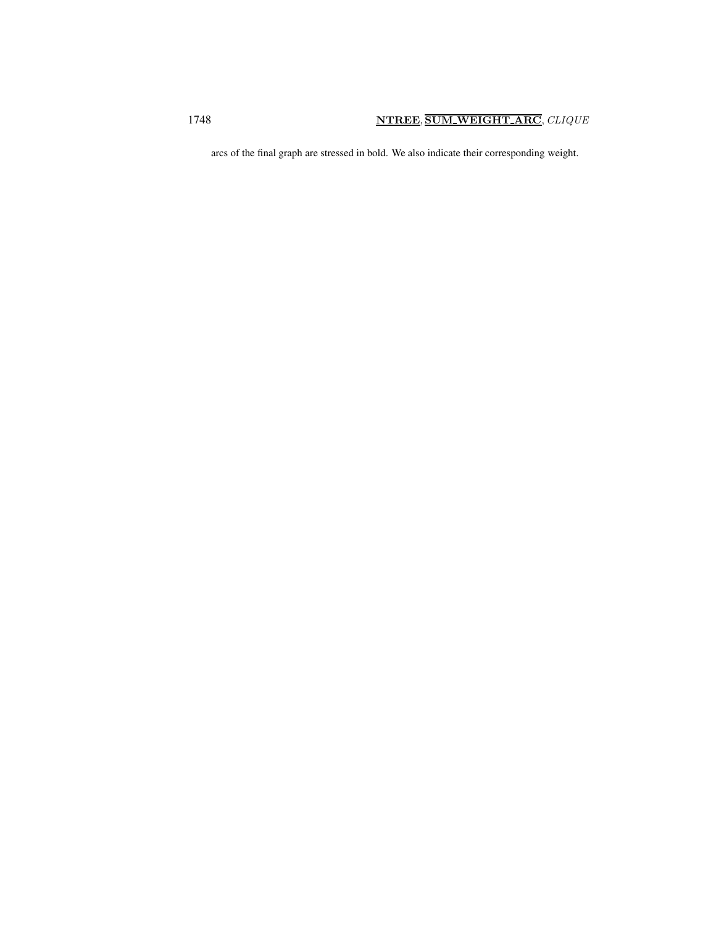arcs of the final graph are stressed in bold. We also indicate their corresponding weight.